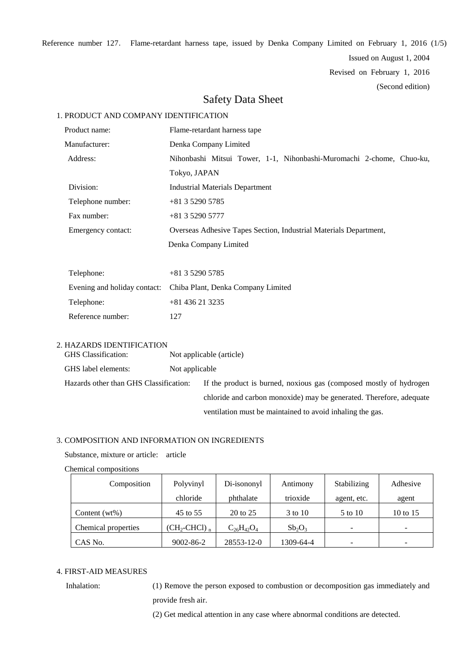Reference number 127. Flame-retardant harness tape, issued by Denka Company Limited on February 1, 2016 (1/5)

Issued on August 1, 2004

Revised on February 1, 2016

(Second edition)

## Safety Data Sheet

## 1. PRODUCT AND COMPANY IDENTIFICATION

| Product name:                |                   | Flame-retardant harness tape                                         |  |  |  |  |  |
|------------------------------|-------------------|----------------------------------------------------------------------|--|--|--|--|--|
| Manufacturer:                |                   | Denka Company Limited                                                |  |  |  |  |  |
|                              | Address:          | Nihonbashi Mitsui Tower, 1-1, Nihonbashi-Muromachi 2-chome, Chuo-ku, |  |  |  |  |  |
|                              |                   | Tokyo, JAPAN                                                         |  |  |  |  |  |
|                              | Division:         | <b>Industrial Materials Department</b>                               |  |  |  |  |  |
|                              | Telephone number: | $+81352905785$                                                       |  |  |  |  |  |
| Fax number:                  |                   | $+81352905777$                                                       |  |  |  |  |  |
| Emergency contact:           |                   | Overseas Adhesive Tapes Section, Industrial Materials Department,    |  |  |  |  |  |
|                              |                   | Denka Company Limited                                                |  |  |  |  |  |
|                              |                   |                                                                      |  |  |  |  |  |
| Telephone:                   |                   | $+81352905785$                                                       |  |  |  |  |  |
| Evening and holiday contact: |                   | Chiba Plant, Denka Company Limited                                   |  |  |  |  |  |
| Telephone:                   |                   | $+81436213235$                                                       |  |  |  |  |  |

Reference number: 127

## 2. HAZARDS IDENTIFICATION

| <b>GHS</b> Classification:             | Not applicable (article) |                                                                     |  |
|----------------------------------------|--------------------------|---------------------------------------------------------------------|--|
| GHS label elements:<br>Not applicable  |                          |                                                                     |  |
| Hazards other than GHS Classification: |                          | If the product is burned, noxious gas (composed mostly of hydrogen  |  |
|                                        |                          | chloride and carbon monoxide) may be generated. Therefore, adequate |  |
|                                        |                          | ventilation must be maintained to avoid inhaling the gas.           |  |

## 3. COMPOSITION AND INFORMATION ON INGREDIENTS

Substance, mixture or article: article

#### Chemical compositions

| Composition         | Polyvinyl                 | Di-isononyl       | Antimony  | Stabilizing     | Adhesive |
|---------------------|---------------------------|-------------------|-----------|-----------------|----------|
|                     | chloride                  | phthalate         | trioxide  | agent, etc.     | agent    |
| Content $(wt\%)$    | 45 to 55                  | 20 to 25          | 3 to 10   | 5 to 10         | 10 to 15 |
| Chemical properties | $(CH_2\text{-CHCl})$ $_n$ | $C_{26}H_{42}O_4$ | $Sb_2O_3$ | $\qquad \qquad$ | -        |
| CAS No.             | 9002-86-2                 | 28553-12-0        | 1309-64-4 |                 | -        |

## 4. FIRST-AID MEASURES

Inhalation: (1) Remove the person exposed to combustion or decomposition gas immediately and provide fresh air.

(2) Get medical attention in any case where abnormal conditions are detected.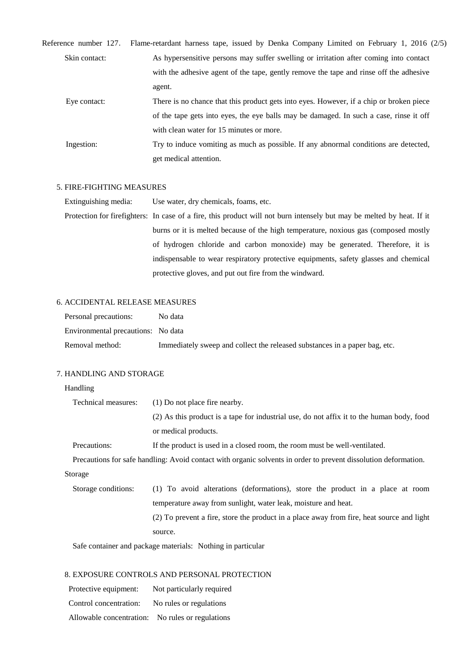| Reference number 127. | Flame-retardant harness tape, issued by Denka Company Limited on February 1, 2016 (2/5) |
|-----------------------|-----------------------------------------------------------------------------------------|
| Skin contact:         | As hypersensitive persons may suffer swelling or irritation after coming into contact   |
|                       | with the adhesive agent of the tape, gently remove the tape and rinse off the adhesive  |
|                       | agent.                                                                                  |
| Eye contact:          | There is no chance that this product gets into eyes. However, if a chip or broken piece |
|                       | of the tape gets into eyes, the eye balls may be damaged. In such a case, rinse it off  |
|                       | with clean water for 15 minutes or more.                                                |
|                       |                                                                                         |

Ingestion: Try to induce vomiting as much as possible. If any abnormal conditions are detected, get medical attention.

#### 5. FIRE-FIGHTING MEASURES

Extinguishing media: Use water, dry chemicals, foams, etc.

Protection for firefighters: In case of a fire, this product will not burn intensely but may be melted by heat. If it burns or it is melted because of the high temperature, noxious gas (composed mostly of hydrogen chloride and carbon monoxide) may be generated. Therefore, it is indispensable to wear respiratory protective equipments, safety glasses and chemical protective gloves, and put out fire from the windward.

#### 6. ACCIDENTAL RELEASE MEASURES

| Personal precautions:              | No data                                                                    |
|------------------------------------|----------------------------------------------------------------------------|
| Environmental precautions: No data |                                                                            |
| Removal method:                    | Immediately sweep and collect the released substances in a paper bag, etc. |

#### 7. HANDLING AND STORAGE

#### Handling

| Technical measures:<br>(1) Do not place fire nearby. |                                                                                                                 |  |  |  |  |
|------------------------------------------------------|-----------------------------------------------------------------------------------------------------------------|--|--|--|--|
|                                                      | (2) As this product is a tape for industrial use, do not affix it to the human body, food                       |  |  |  |  |
|                                                      | or medical products.                                                                                            |  |  |  |  |
| Precautions:                                         | If the product is used in a closed room, the room must be well-ventilated.                                      |  |  |  |  |
|                                                      | Precautions for safe handling: Avoid contact with organic solvents in order to prevent dissolution deformation. |  |  |  |  |
| Storage                                              |                                                                                                                 |  |  |  |  |
| Storage conditions:                                  | (1) To avoid alterations (deformations), store the product in a place at room                                   |  |  |  |  |
|                                                      | temperature away from sunlight, water leak, moisture and heat.                                                  |  |  |  |  |
|                                                      | (2) To prevent a fire, store the product in a place away from fire, heat source and light                       |  |  |  |  |

source.

Safe container and package materials: Nothing in particular

### 8. EXPOSURE CONTROLS AND PERSONAL PROTECTION

| Protective equipment:    | Not particularly required |
|--------------------------|---------------------------|
| Control concentration:   | No rules or regulations   |
| Allowable concentration: | No rules or regulations   |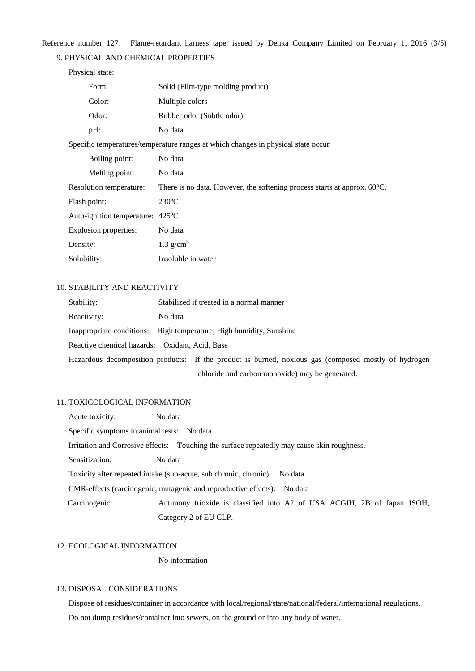Reference number 127. Flame-retardant harness tape, issued by Denka Company Limited on February 1, 2016 (3/5)

#### 9. PHYSICAL AND CHEMICAL PROPERTIES

| Physical state:                  |                                                                                    |
|----------------------------------|------------------------------------------------------------------------------------|
| Form:                            | Solid (Film-type molding product)                                                  |
| Color:                           | Multiple colors                                                                    |
| Odor:                            | Rubber odor (Subtle odor)                                                          |
| pH:                              | No data                                                                            |
|                                  | Specific temperatures/temperature ranges at which changes in physical state occur  |
| Boiling point:                   | No data                                                                            |
| Melting point:                   | No data                                                                            |
| Resolution temperature:          | There is no data. However, the softening process starts at approx. $60^{\circ}$ C. |
| Flash point:                     | $230^{\circ}$ C                                                                    |
| Auto-ignition temperature: 425°C |                                                                                    |
| Explosion properties:            | No data                                                                            |
| Density:                         | 1.3 $g/cm3$                                                                        |
| Solubility:                      | Insoluble in water                                                                 |

#### 10. STABILITY AND REACTIVITY

| Stability:                                     |         | Stabilized if treated in a normal manner                                                             |
|------------------------------------------------|---------|------------------------------------------------------------------------------------------------------|
| Reactivity:                                    | No data |                                                                                                      |
|                                                |         | Inappropriate conditions: High temperature, High humidity, Sunshine                                  |
| Reactive chemical hazards: Oxidant, Acid, Base |         |                                                                                                      |
|                                                |         | Hazardous decomposition products: If the product is burned, noxious gas (composed mostly of hydrogen |
|                                                |         | chloride and carbon monoxide) may be generated.                                                      |

#### 11. TOXICOLOGICAL INFORMATION

Acute toxicity: No data Specific symptoms in animal tests: No data Irritation and Corrosive effects: Touching the surface repeatedly may cause skin roughness. Sensitization: No data Toxicity after repeated intake (sub-acute, sub chronic, chronic): No data CMR-effects (carcinogenic, mutagenic and reproductive effects): No data Carcinogenic: Antimony trioxide is classified into A2 of USA ACGIH, 2B of Japan JSOH, Category 2 of EU CLP.

#### 12. ECOLOGICAL INFORMATION

No information

#### 13. DISPOSAL CONSIDERATIONS

Dispose of residues/container in accordance with local/regional/state/national/federal/international regulations. Do not dump residues/container into sewers, on the ground or into any body of water.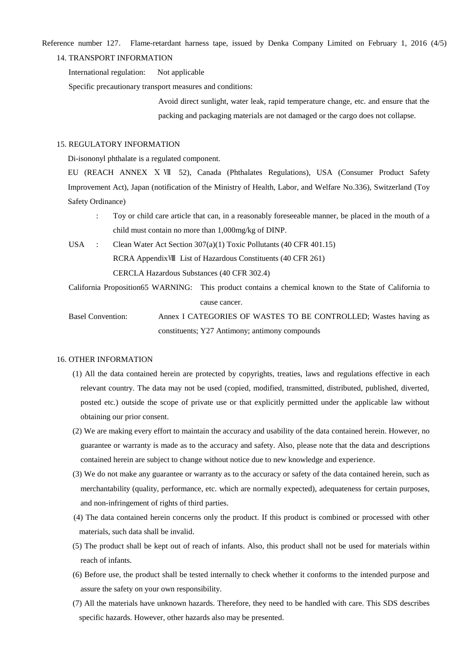Reference number 127. Flame-retardant harness tape, issued by Denka Company Limited on February 1, 2016 (4/5)

#### 14. TRANSPORT INFORMATION

International regulation: Not applicable

Specific precautionary transport measures and conditions:

Avoid direct sunlight, water leak, rapid temperature change, etc. and ensure that the packing and packaging materials are not damaged or the cargo does not collapse.

#### 15. REGULATORY INFORMATION

Di-isononyl phthalate is a regulated component.

EU (REACH ANNEX Ⅹ Ⅶ 52), Canada (Phthalates Regulations), USA (Consumer Product Safety Improvement Act), Japan (notification of the Ministry of Health, Labor, and Welfare No.336), Switzerland (Toy Safety Ordinance)

- : Toy or child care article that can, in a reasonably foreseeable manner, be placed in the mouth of a child must contain no more than 1,000mg/kg of DINP.
- USA : Clean Water Act Section 307(a)(1) Toxic Pollutants (40 CFR 401.15) RCRA AppendixⅧ List of Hazardous Constituents (40 CFR 261) CERCLA Hazardous Substances (40 CFR 302.4)
- California Proposition65 WARNING: This product contains a chemical known to the State of California to cause cancer.

 Basel Convention: Annex I CATEGORIES OF WASTES TO BE CONTROLLED; Wastes having as constituents; Y27 Antimony; antimony compounds

#### 16. OTHER INFORMATION

- (1) All the data contained herein are protected by copyrights, treaties, laws and regulations effective in each relevant country. The data may not be used (copied, modified, transmitted, distributed, published, diverted, posted etc.) outside the scope of private use or that explicitly permitted under the applicable law without obtaining our prior consent.
- (2) We are making every effort to maintain the accuracy and usability of the data contained herein. However, no guarantee or warranty is made as to the accuracy and safety. Also, please note that the data and descriptions contained herein are subject to change without notice due to new knowledge and experience.
- (3) We do not make any guarantee or warranty as to the accuracy or safety of the data contained herein, such as merchantability (quality, performance, etc. which are normally expected), adequateness for certain purposes, and non-infringement of rights of third parties.
- (4) The data contained herein concerns only the product. If this product is combined or processed with other materials, such data shall be invalid.
- (5) The product shall be kept out of reach of infants. Also, this product shall not be used for materials within reach of infants.
- (6) Before use, the product shall be tested internally to check whether it conforms to the intended purpose and assure the safety on your own responsibility.
- (7) All the materials have unknown hazards. Therefore, they need to be handled with care. This SDS describes specific hazards. However, other hazards also may be presented.